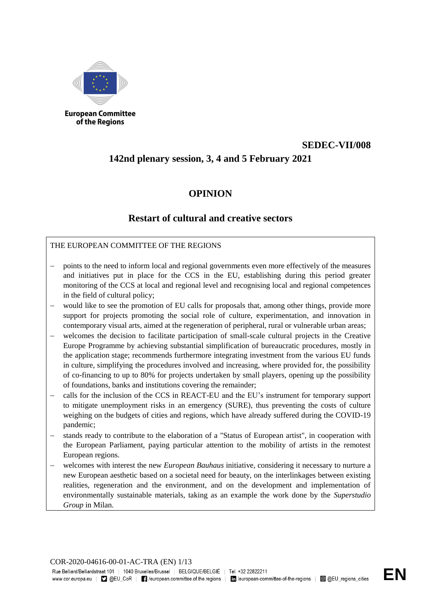

**European Committee** of the Regions

# **SEDEC-VII/008**

# **142nd plenary session, 3, 4 and 5 February 2021**

## **OPINION**

## **Restart of cultural and creative sectors**

## THE EUROPEAN COMMITTEE OF THE REGIONS

- points to the need to inform local and regional governments even more effectively of the measures and initiatives put in place for the CCS in the EU, establishing during this period greater monitoring of the CCS at local and regional level and recognising local and regional competences in the field of cultural policy;
- would like to see the promotion of EU calls for proposals that, among other things, provide more support for projects promoting the social role of culture, experimentation, and innovation in contemporary visual arts, aimed at the regeneration of peripheral, rural or vulnerable urban areas;
- welcomes the decision to facilitate participation of small-scale cultural projects in the Creative Europe Programme by achieving substantial simplification of bureaucratic procedures, mostly in the application stage; recommends furthermore integrating investment from the various EU funds in culture, simplifying the procedures involved and increasing, where provided for, the possibility of co-financing to up to 80% for projects undertaken by small players, opening up the possibility of foundations, banks and institutions covering the remainder;
- calls for the inclusion of the CCS in REACT-EU and the EU's instrument for temporary support to mitigate unemployment risks in an emergency (SURE), thus preventing the costs of culture weighing on the budgets of cities and regions, which have already suffered during the COVID-19 pandemic;
- stands ready to contribute to the elaboration of a "Status of European artist", in cooperation with the European Parliament, paying particular attention to the mobility of artists in the remotest European regions.
- welcomes with interest the new *European Bauhaus* initiative, considering it necessary to nurture a new European aesthetic based on a societal need for beauty, on the interlinkages between existing realities, regeneration and the environment, and on the development and implementation of environmentally sustainable materials, taking as an example the work done by the *Superstudio Group* in Milan.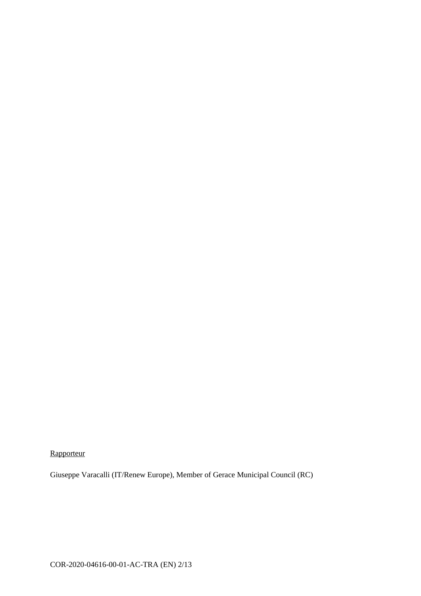**Rapporteur** 

Giuseppe Varacalli (IT/Renew Europe), Member of Gerace Municipal Council (RC)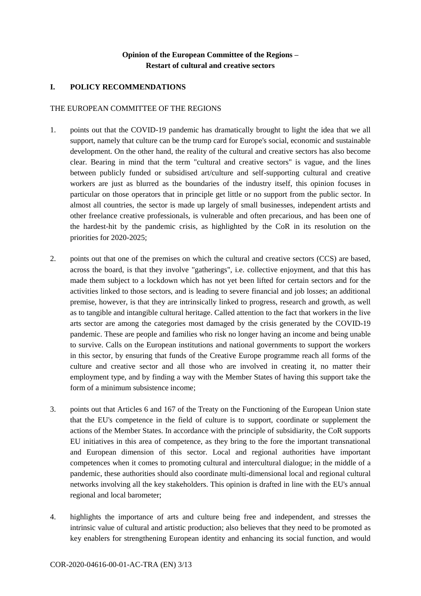## **Opinion of the European Committee of the Regions – Restart of cultural and creative sectors**

## **I. POLICY RECOMMENDATIONS**

#### THE EUROPEAN COMMITTEE OF THE REGIONS

- 1. points out that the COVID-19 pandemic has dramatically brought to light the idea that we all support, namely that culture can be the trump card for Europe's social, economic and sustainable development. On the other hand, the reality of the cultural and creative sectors has also become clear. Bearing in mind that the term "cultural and creative sectors" is vague, and the lines between publicly funded or subsidised art/culture and self-supporting cultural and creative workers are just as blurred as the boundaries of the industry itself, this opinion focuses in particular on those operators that in principle get little or no support from the public sector. In almost all countries, the sector is made up largely of small businesses, independent artists and other freelance creative professionals, is vulnerable and often precarious, and has been one of the hardest-hit by the pandemic crisis, as highlighted by the CoR in its resolution on the priorities for 2020-2025;
- 2. points out that one of the premises on which the cultural and creative sectors (CCS) are based, across the board, is that they involve "gatherings", i.e. collective enjoyment, and that this has made them subject to a lockdown which has not yet been lifted for certain sectors and for the activities linked to those sectors, and is leading to severe financial and job losses; an additional premise, however, is that they are intrinsically linked to progress, research and growth, as well as to tangible and intangible cultural heritage. Called attention to the fact that workers in the live arts sector are among the categories most damaged by the crisis generated by the COVID-19 pandemic. These are people and families who risk no longer having an income and being unable to survive. Calls on the European institutions and national governments to support the workers in this sector, by ensuring that funds of the Creative Europe programme reach all forms of the culture and creative sector and all those who are involved in creating it, no matter their employment type, and by finding a way with the Member States of having this support take the form of a minimum subsistence income;
- 3. points out that Articles 6 and 167 of the Treaty on the Functioning of the European Union state that the EU's competence in the field of culture is to support, coordinate or supplement the actions of the Member States. In accordance with the principle of subsidiarity, the CoR supports EU initiatives in this area of competence, as they bring to the fore the important transnational and European dimension of this sector. Local and regional authorities have important competences when it comes to promoting cultural and intercultural dialogue; in the middle of a pandemic, these authorities should also coordinate multi-dimensional local and regional cultural networks involving all the key stakeholders. This opinion is drafted in line with the EU's annual regional and local barometer;
- 4. highlights the importance of arts and culture being free and independent, and stresses the intrinsic value of cultural and artistic production; also believes that they need to be promoted as key enablers for strengthening European identity and enhancing its social function, and would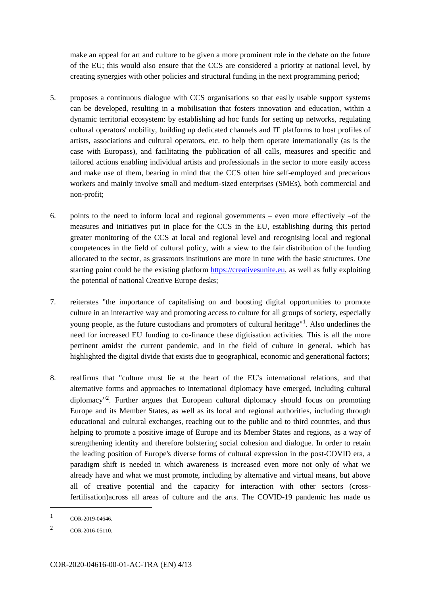make an appeal for art and culture to be given a more prominent role in the debate on the future of the EU; this would also ensure that the CCS are considered a priority at national level, by creating synergies with other policies and structural funding in the next programming period;

- 5. proposes a continuous dialogue with CCS organisations so that easily usable support systems can be developed, resulting in a mobilisation that fosters innovation and education, within a dynamic territorial ecosystem: by establishing ad hoc funds for setting up networks, regulating cultural operators' mobility, building up dedicated channels and IT platforms to host profiles of artists, associations and cultural operators, etc. to help them operate internationally (as is the case with Europass), and facilitating the publication of all calls, measures and specific and tailored actions enabling individual artists and professionals in the sector to more easily access and make use of them, bearing in mind that the CCS often hire self-employed and precarious workers and mainly involve small and medium-sized enterprises (SMEs), both commercial and non-profit;
- 6. points to the need to inform local and regional governments even more effectively  $-$ of the measures and initiatives put in place for the CCS in the EU, establishing during this period greater monitoring of the CCS at local and regional level and recognising local and regional competences in the field of cultural policy, with a view to the fair distribution of the funding allocated to the sector, as grassroots institutions are more in tune with the basic structures. One starting point could be the existing platform https://creativesunite.eu, as well as fully exploiting the potential of national Creative Europe desks;
- 7. reiterates "the importance of capitalising on and boosting digital opportunities to promote culture in an interactive way and promoting access to culture for all groups of society, especially young people, as the future custodians and promoters of cultural heritage"<sup>1</sup>. Also underlines the need for increased EU funding to co-finance these digitisation activities. This is all the more pertinent amidst the current pandemic, and in the field of culture in general, which has highlighted the digital divide that exists due to geographical, economic and generational factors;
- 8. reaffirms that "culture must lie at the heart of the EU's international relations, and that alternative forms and approaches to international diplomacy have emerged, including cultural diplomacy"<sup>2</sup> . Further argues that European cultural diplomacy should focus on promoting Europe and its Member States, as well as its local and regional authorities, including through educational and cultural exchanges, reaching out to the public and to third countries, and thus helping to promote a positive image of Europe and its Member States and regions, as a way of strengthening identity and therefore bolstering social cohesion and dialogue. In order to retain the leading position of Europe's diverse forms of cultural expression in the post-COVID era, a paradigm shift is needed in which awareness is increased even more not only of what we already have and what we must promote, including by alternative and virtual means, but above all of creative potential and the capacity for interaction with other sectors (crossfertilisation)across all areas of culture and the arts. The COVID-19 pandemic has made us

1

<sup>1</sup> COR-2019-04646.

<sup>2</sup> COR-2016-05110.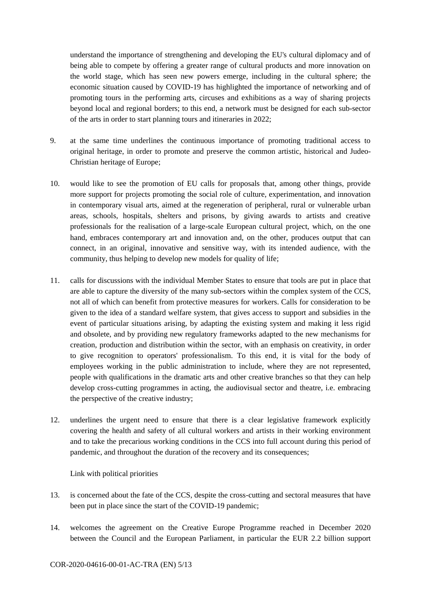understand the importance of strengthening and developing the EU's cultural diplomacy and of being able to compete by offering a greater range of cultural products and more innovation on the world stage, which has seen new powers emerge, including in the cultural sphere; the economic situation caused by COVID-19 has highlighted the importance of networking and of promoting tours in the performing arts, circuses and exhibitions as a way of sharing projects beyond local and regional borders; to this end, a network must be designed for each sub-sector of the arts in order to start planning tours and itineraries in 2022;

- 9. at the same time underlines the continuous importance of promoting traditional access to original heritage, in order to promote and preserve the common artistic, historical and Judeo-Christian heritage of Europe;
- 10. would like to see the promotion of EU calls for proposals that, among other things, provide more support for projects promoting the social role of culture, experimentation, and innovation in contemporary visual arts, aimed at the regeneration of peripheral, rural or vulnerable urban areas, schools, hospitals, shelters and prisons, by giving awards to artists and creative professionals for the realisation of a large-scale European cultural project, which, on the one hand, embraces contemporary art and innovation and, on the other, produces output that can connect, in an original, innovative and sensitive way, with its intended audience, with the community, thus helping to develop new models for quality of life;
- 11. calls for discussions with the individual Member States to ensure that tools are put in place that are able to capture the diversity of the many sub-sectors within the complex system of the CCS, not all of which can benefit from protective measures for workers. Calls for consideration to be given to the idea of a standard welfare system, that gives access to support and subsidies in the event of particular situations arising, by adapting the existing system and making it less rigid and obsolete, and by providing new regulatory frameworks adapted to the new mechanisms for creation, production and distribution within the sector, with an emphasis on creativity, in order to give recognition to operators' professionalism. To this end, it is vital for the body of employees working in the public administration to include, where they are not represented, people with qualifications in the dramatic arts and other creative branches so that they can help develop cross-cutting programmes in acting, the audiovisual sector and theatre, i.e. embracing the perspective of the creative industry;
- 12. underlines the urgent need to ensure that there is a clear legislative framework explicitly covering the health and safety of all cultural workers and artists in their working environment and to take the precarious working conditions in the CCS into full account during this period of pandemic, and throughout the duration of the recovery and its consequences;

Link with political priorities

- 13. is concerned about the fate of the CCS, despite the cross-cutting and sectoral measures that have been put in place since the start of the COVID-19 pandemic;
- 14. welcomes the agreement on the Creative Europe Programme reached in December 2020 between the Council and the European Parliament, in particular the EUR 2.2 billion support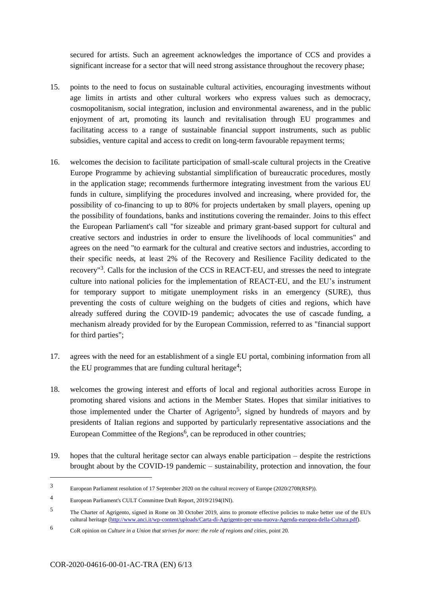secured for artists. Such an agreement acknowledges the importance of CCS and provides a significant increase for a sector that will need strong assistance throughout the recovery phase;

- 15. points to the need to focus on sustainable cultural activities, encouraging investments without age limits in artists and other cultural workers who express values such as democracy, cosmopolitanism, social integration, inclusion and environmental awareness, and in the public enjoyment of art, promoting its launch and revitalisation through EU programmes and facilitating access to a range of sustainable financial support instruments, such as public subsidies, venture capital and access to credit on long-term favourable repayment terms;
- 16. welcomes the decision to facilitate participation of small-scale cultural projects in the Creative Europe Programme by achieving substantial simplification of bureaucratic procedures, mostly in the application stage; recommends furthermore integrating investment from the various EU funds in culture, simplifying the procedures involved and increasing, where provided for, the possibility of co-financing to up to 80% for projects undertaken by small players, opening up the possibility of foundations, banks and institutions covering the remainder. Joins to this effect the European Parliament's call "for sizeable and primary grant-based support for cultural and creative sectors and industries in order to ensure the livelihoods of local communities" and agrees on the need "to earmark for the cultural and creative sectors and industries, according to their specific needs, at least 2% of the Recovery and Resilience Facility dedicated to the recovery<sup>"3</sup>. Calls for the inclusion of the CCS in REACT-EU, and stresses the need to integrate culture into national policies for the implementation of REACT-EU, and the EU's instrument for temporary support to mitigate unemployment risks in an emergency (SURE), thus preventing the costs of culture weighing on the budgets of cities and regions, which have already suffered during the COVID-19 pandemic; advocates the use of cascade funding, a mechanism already provided for by the European Commission, referred to as "financial support for third parties";
- 17. agrees with the need for an establishment of a single EU portal, combining information from all the EU programmes that are funding cultural heritage<sup>4</sup>;
- 18. welcomes the growing interest and efforts of local and regional authorities across Europe in promoting shared visions and actions in the Member States. Hopes that similar initiatives to those implemented under the Charter of Agrigento<sup>5</sup>, signed by hundreds of mayors and by presidents of Italian regions and supported by particularly representative associations and the European Committee of the Regions<sup>6</sup>, can be reproduced in other countries;
- 19. hopes that the cultural heritage sector can always enable participation despite the restrictions brought about by the COVID-19 pandemic – sustainability, protection and innovation, the four

1

<sup>3</sup> European Parliament resolution of 17 September 2020 on the cultural recovery of Europe (2020/2708(RSP)).

<sup>4</sup> European Parliament's CULT Committee Draft Report, 2019/2194(INI).

<sup>5</sup> The Charter of Agrigento, signed in Rome on 30 October 2019, aims to promote effective policies to make better use of the EU's cultural heritage (http://www.anci.it/wp-content/uploads/Carta-di-Agrigento-per-una-nuova-Agenda-europea-della-Cultura.pdf).

<sup>6</sup> CoR opinion on *Culture in a Union that strives for more: the role of regions and cities*, point 20.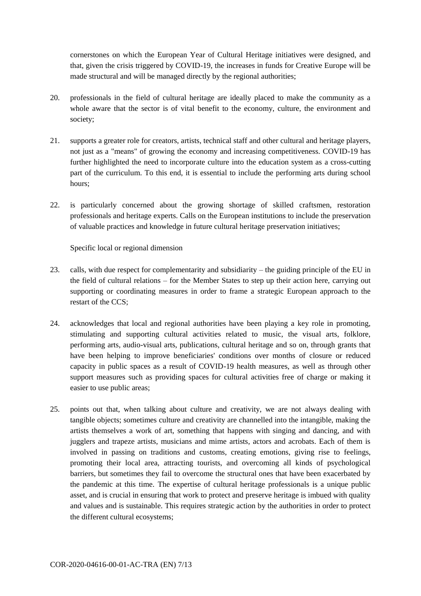cornerstones on which the European Year of Cultural Heritage initiatives were designed, and that, given the crisis triggered by COVID-19, the increases in funds for Creative Europe will be made structural and will be managed directly by the regional authorities;

- 20. professionals in the field of cultural heritage are ideally placed to make the community as a whole aware that the sector is of vital benefit to the economy, culture, the environment and society;
- 21. supports a greater role for creators, artists, technical staff and other cultural and heritage players, not just as a "means" of growing the economy and increasing competitiveness. COVID-19 has further highlighted the need to incorporate culture into the education system as a cross-cutting part of the curriculum. To this end, it is essential to include the performing arts during school hours;
- 22. is particularly concerned about the growing shortage of skilled craftsmen, restoration professionals and heritage experts. Calls on the European institutions to include the preservation of valuable practices and knowledge in future cultural heritage preservation initiatives;

Specific local or regional dimension

- 23. calls, with due respect for complementarity and subsidiarity the guiding principle of the EU in the field of cultural relations – for the Member States to step up their action here, carrying out supporting or coordinating measures in order to frame a strategic European approach to the restart of the CCS;
- 24. acknowledges that local and regional authorities have been playing a key role in promoting, stimulating and supporting cultural activities related to music, the visual arts, folklore, performing arts, audio-visual arts, publications, cultural heritage and so on, through grants that have been helping to improve beneficiaries' conditions over months of closure or reduced capacity in public spaces as a result of COVID-19 health measures, as well as through other support measures such as providing spaces for cultural activities free of charge or making it easier to use public areas;
- 25. points out that, when talking about culture and creativity, we are not always dealing with tangible objects; sometimes culture and creativity are channelled into the intangible, making the artists themselves a work of art, something that happens with singing and dancing, and with jugglers and trapeze artists, musicians and mime artists, actors and acrobats. Each of them is involved in passing on traditions and customs, creating emotions, giving rise to feelings, promoting their local area, attracting tourists, and overcoming all kinds of psychological barriers, but sometimes they fail to overcome the structural ones that have been exacerbated by the pandemic at this time. The expertise of cultural heritage professionals is a unique public asset, and is crucial in ensuring that work to protect and preserve heritage is imbued with quality and values and is sustainable. This requires strategic action by the authorities in order to protect the different cultural ecosystems;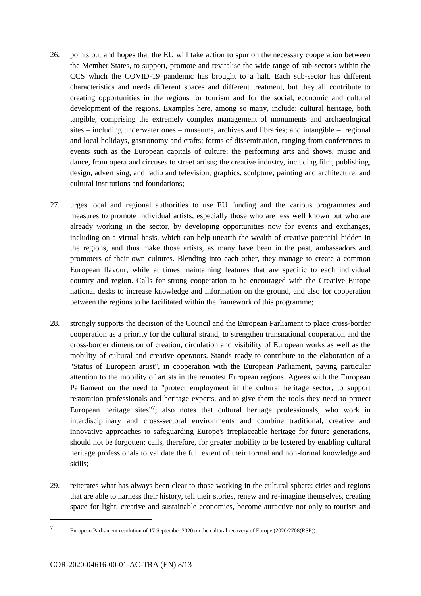- 26. points out and hopes that the EU will take action to spur on the necessary cooperation between the Member States, to support, promote and revitalise the wide range of sub-sectors within the CCS which the COVID-19 pandemic has brought to a halt. Each sub-sector has different characteristics and needs different spaces and different treatment, but they all contribute to creating opportunities in the regions for tourism and for the social, economic and cultural development of the regions. Examples here, among so many, include: cultural heritage, both tangible, comprising the extremely complex management of monuments and archaeological sites – including underwater ones – museums, archives and libraries; and intangible – regional and local holidays, gastronomy and crafts; forms of dissemination, ranging from conferences to events such as the European capitals of culture; the performing arts and shows, music and dance, from opera and circuses to street artists; the creative industry, including film, publishing, design, advertising, and radio and television, graphics, sculpture, painting and architecture; and cultural institutions and foundations;
- 27. urges local and regional authorities to use EU funding and the various programmes and measures to promote individual artists, especially those who are less well known but who are already working in the sector, by developing opportunities now for events and exchanges, including on a virtual basis, which can help unearth the wealth of creative potential hidden in the regions, and thus make those artists, as many have been in the past, ambassadors and promoters of their own cultures. Blending into each other, they manage to create a common European flavour, while at times maintaining features that are specific to each individual country and region. Calls for strong cooperation to be encouraged with the Creative Europe national desks to increase knowledge and information on the ground, and also for cooperation between the regions to be facilitated within the framework of this programme;
- 28. strongly supports the decision of the Council and the European Parliament to place cross-border cooperation as a priority for the cultural strand, to strengthen transnational cooperation and the cross-border dimension of creation, circulation and visibility of European works as well as the mobility of cultural and creative operators. Stands ready to contribute to the elaboration of a "Status of European artist", in cooperation with the European Parliament, paying particular attention to the mobility of artists in the remotest European regions. Agrees with the European Parliament on the need to "protect employment in the cultural heritage sector, to support restoration professionals and heritage experts, and to give them the tools they need to protect European heritage sites $17$ ; also notes that cultural heritage professionals, who work in interdisciplinary and cross-sectoral environments and combine traditional, creative and innovative approaches to safeguarding Europe's irreplaceable heritage for future generations, should not be forgotten; calls, therefore, for greater mobility to be fostered by enabling cultural heritage professionals to validate the full extent of their formal and non-formal knowledge and skills;
- 29. reiterates what has always been clear to those working in the cultural sphere: cities and regions that are able to harness their history, tell their stories, renew and re-imagine themselves, creating space for light, creative and sustainable economies, become attractive not only to tourists and

-

<sup>7</sup> European Parliament resolution of 17 September 2020 on the cultural recovery of Europe (2020/2708(RSP)).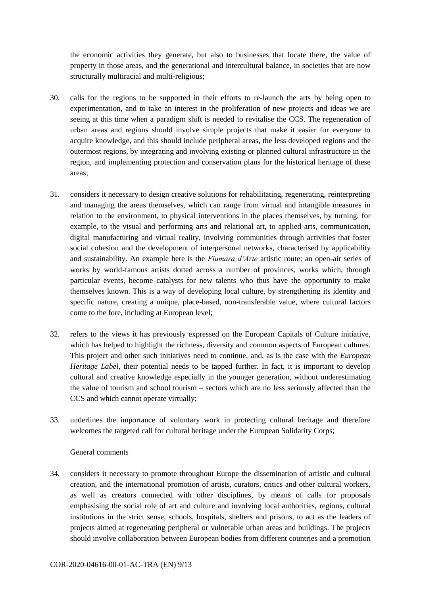the economic activities they generate, but also to businesses that locate there, the value of property in those areas, and the generational and intercultural balance, in societies that are now structurally multiracial and multi-religious;

- 30. calls for the regions to be supported in their efforts to re-launch the arts by being open to experimentation, and to take an interest in the proliferation of new projects and ideas we are seeing at this time when a paradigm shift is needed to revitalise the CCS. The regeneration of urban areas and regions should involve simple projects that make it easier for everyone to acquire knowledge, and this should include peripheral areas, the less developed regions and the outermost regions, by integrating and involving existing or planned cultural infrastructure in the region, and implementing protection and conservation plans for the historical heritage of these areas;
- 31. considers it necessary to design creative solutions for rehabilitating, regenerating, reinterpreting and managing the areas themselves, which can range from virtual and intangible measures in relation to the environment, to physical interventions in the places themselves, by turning, for example, to the visual and performing arts and relational art, to applied arts, communication, digital manufacturing and virtual reality, involving communities through activities that foster social cohesion and the development of interpersonal networks, characterised by applicability and sustainability. An example here is the *Fiumara d'Arte* artistic route: an open-air series of works by world-famous artists dotted across a number of provinces, works which, through particular events, become catalysts for new talents who thus have the opportunity to make themselves known. This is a way of developing local culture, by strengthening its identity and specific nature, creating a unique, place-based, non-transferable value, where cultural factors come to the fore, including at European level;
- 32. refers to the views it has previously expressed on the European Capitals of Culture initiative, which has helped to highlight the richness, diversity and common aspects of European cultures. This project and other such initiatives need to continue, and, as is the case with the *European Heritage Label*, their potential needs to be tapped further. In fact, it is important to develop cultural and creative knowledge especially in the younger generation, without underestimating the value of tourism and school tourism – sectors which are no less seriously affected than the CCS and which cannot operate virtually;
- 33. underlines the importance of voluntary work in protecting cultural heritage and therefore welcomes the targeted call for cultural heritage under the European Solidarity Corps;

## General comments

34. considers it necessary to promote throughout Europe the dissemination of artistic and cultural creation, and the international promotion of artists, curators, critics and other cultural workers, as well as creators connected with other disciplines, by means of calls for proposals emphasising the social role of art and culture and involving local authorities, regions, cultural institutions in the strict sense, schools, hospitals, shelters and prisons, to act as the leaders of projects aimed at regenerating peripheral or vulnerable urban areas and buildings. The projects should involve collaboration between European bodies from different countries and a promotion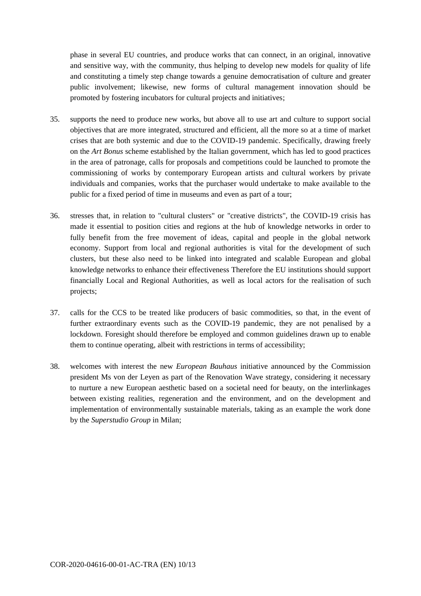phase in several EU countries, and produce works that can connect, in an original, innovative and sensitive way, with the community, thus helping to develop new models for quality of life and constituting a timely step change towards a genuine democratisation of culture and greater public involvement; likewise, new forms of cultural management innovation should be promoted by fostering incubators for cultural projects and initiatives;

- 35. supports the need to produce new works, but above all to use art and culture to support social objectives that are more integrated, structured and efficient, all the more so at a time of market crises that are both systemic and due to the COVID-19 pandemic. Specifically, drawing freely on the *Art Bonus* scheme established by the Italian government, which has led to good practices in the area of patronage, calls for proposals and competitions could be launched to promote the commissioning of works by contemporary European artists and cultural workers by private individuals and companies, works that the purchaser would undertake to make available to the public for a fixed period of time in museums and even as part of a tour;
- 36. stresses that, in relation to "cultural clusters" or "creative districts", the COVID-19 crisis has made it essential to position cities and regions at the hub of knowledge networks in order to fully benefit from the free movement of ideas, capital and people in the global network economy. Support from local and regional authorities is vital for the development of such clusters, but these also need to be linked into integrated and scalable European and global knowledge networks to enhance their effectiveness Therefore the EU institutions should support financially Local and Regional Authorities, as well as local actors for the realisation of such projects;
- 37. calls for the CCS to be treated like producers of basic commodities, so that, in the event of further extraordinary events such as the COVID-19 pandemic, they are not penalised by a lockdown. Foresight should therefore be employed and common guidelines drawn up to enable them to continue operating, albeit with restrictions in terms of accessibility;
- 38. welcomes with interest the new *European Bauhaus* initiative announced by the Commission president Ms von der Leyen as part of the Renovation Wave strategy, considering it necessary to nurture a new European aesthetic based on a societal need for beauty, on the interlinkages between existing realities, regeneration and the environment, and on the development and implementation of environmentally sustainable materials, taking as an example the work done by the *Superstudio Group* in Milan;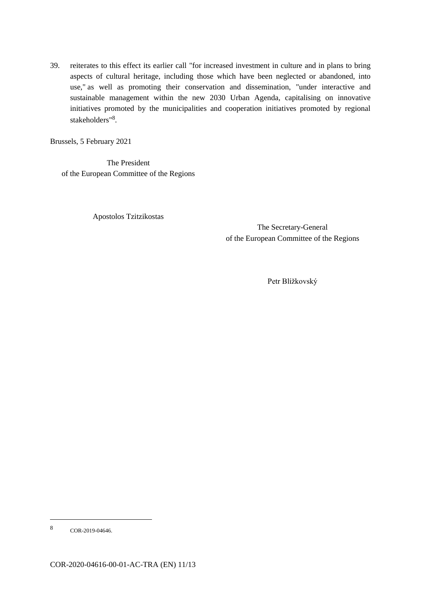39. reiterates to this effect its earlier call "for increased investment in culture and in plans to bring aspects of cultural heritage, including those which have been neglected or abandoned, into use," as well as promoting their conservation and dissemination, "under interactive and sustainable management within the new 2030 Urban Agenda, capitalising on innovative initiatives promoted by the municipalities and cooperation initiatives promoted by regional stakeholders"<sup>8</sup>.

Brussels, 5 February 2021

The President of the European Committee of the Regions

Apostolos Tzitzikostas

The Secretary-General of the European Committee of the Regions

Petr Blížkovský

-

<sup>8</sup> COR-2019-04646.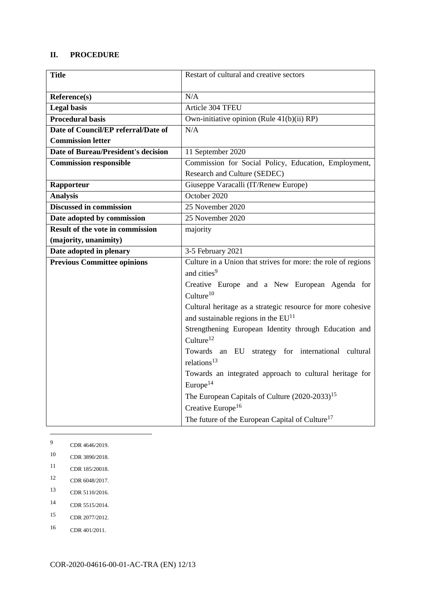### **II. PROCEDURE**

| <b>Title</b>                               | Restart of cultural and creative sectors                      |
|--------------------------------------------|---------------------------------------------------------------|
| Reference(s)                               | N/A                                                           |
| <b>Legal basis</b>                         | Article 304 TFEU                                              |
| <b>Procedural basis</b>                    | Own-initiative opinion (Rule 41(b)(ii) RP)                    |
| Date of Council/EP referral/Date of        | N/A                                                           |
| <b>Commission letter</b>                   |                                                               |
| <b>Date of Bureau/President's decision</b> | 11 September 2020                                             |
| <b>Commission responsible</b>              | Commission for Social Policy, Education, Employment,          |
|                                            | Research and Culture (SEDEC)                                  |
| Rapporteur                                 | Giuseppe Varacalli (IT/Renew Europe)                          |
| <b>Analysis</b>                            | October 2020                                                  |
| <b>Discussed in commission</b>             | 25 November 2020                                              |
| Date adopted by commission                 | 25 November 2020                                              |
| <b>Result of the vote in commission</b>    | majority                                                      |
| (majority, unanimity)                      |                                                               |
| Date adopted in plenary                    | 3-5 February 2021                                             |
| <b>Previous Committee opinions</b>         | Culture in a Union that strives for more: the role of regions |
|                                            | and cities <sup>9</sup>                                       |
|                                            | Creative Europe and a New European Agenda for                 |
|                                            | Culture <sup>10</sup>                                         |
|                                            | Cultural heritage as a strategic resource for more cohesive   |
|                                            | and sustainable regions in the EU <sup>11</sup>               |
|                                            | Strengthening European Identity through Education and         |
|                                            | Culture <sup>12</sup>                                         |
|                                            | Towards an EU strategy for international cultural             |
|                                            | relations <sup>13</sup>                                       |
|                                            | Towards an integrated approach to cultural heritage for       |
|                                            | Europe <sup>14</sup>                                          |
|                                            | The European Capitals of Culture $(2020-2033)^{15}$           |
|                                            | Creative Europe <sup>16</sup>                                 |
|                                            | The future of the European Capital of Culture <sup>17</sup>   |

<sup>9</sup> CDR 4646/2019.

1

- <sup>10</sup> CDR 3890/2018.
- <sup>11</sup> CDR 185/20018.
- <sup>12</sup> CDR 6048/2017.
- <sup>13</sup> CDR 5110/2016.
- <sup>14</sup> CDR 5515/2014.
- <sup>15</sup> CDR 2077/2012.
- <sup>16</sup> CDR 401/2011.